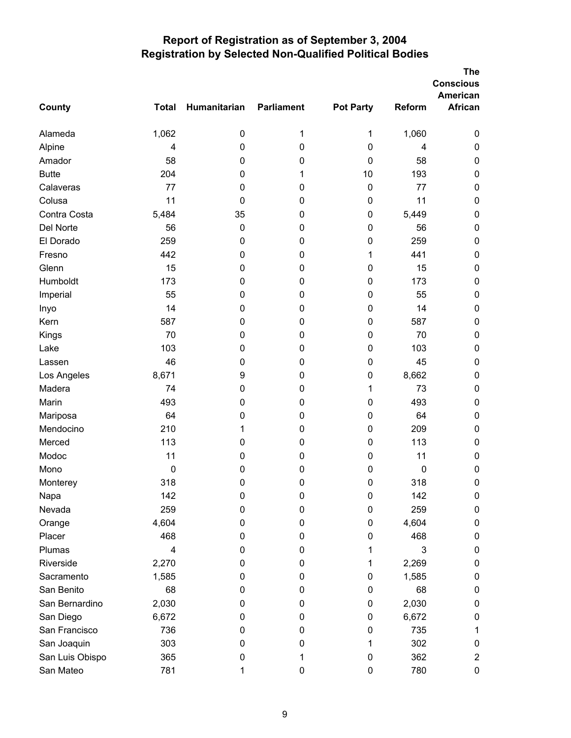|                 |              |              |                   |                  |               | <b>The</b><br><b>Conscious</b><br>American |
|-----------------|--------------|--------------|-------------------|------------------|---------------|--------------------------------------------|
| <b>County</b>   | <b>Total</b> | Humanitarian | <b>Parliament</b> | <b>Pot Party</b> | <b>Reform</b> | <b>African</b>                             |
| Alameda         | 1,062        | 0            | 1                 | 1                | 1,060         | 0                                          |
| Alpine          | 4            | $\mathbf 0$  | 0                 | 0                | 4             | $\pmb{0}$                                  |
| Amador          | 58           | 0            | 0                 | 0                | 58            | 0                                          |
| <b>Butte</b>    | 204          | 0            | 1                 | 10               | 193           | $\pmb{0}$                                  |
| Calaveras       | 77           | 0            | 0                 | $\pmb{0}$        | 77            | $\pmb{0}$                                  |
| Colusa          | 11           | 0            | 0                 | 0                | 11            | $\pmb{0}$                                  |
| Contra Costa    | 5,484        | 35           | 0                 | $\pmb{0}$        | 5,449         | $\pmb{0}$                                  |
| Del Norte       | 56           | $\mathbf 0$  | 0                 | 0                | 56            | 0                                          |
| El Dorado       | 259          | 0            | 0                 | 0                | 259           | $\pmb{0}$                                  |
| Fresno          | 442          | 0            | 0                 | 1                | 441           | 0                                          |
| Glenn           | 15           | 0            | 0                 | 0                | 15            | $\pmb{0}$                                  |
| Humboldt        | 173          | 0            | 0                 | 0                | 173           | $\pmb{0}$                                  |
| Imperial        | 55           | 0            | 0                 | 0                | 55            | 0                                          |
| Inyo            | 14           | 0            | 0                 | 0                | 14            | $\pmb{0}$                                  |
| Kern            | 587          | 0            | $\pmb{0}$         | $\pmb{0}$        | 587           | $\pmb{0}$                                  |
| Kings           | 70           | 0            | 0                 | 0                | 70            | $\pmb{0}$                                  |
| Lake            | 103          | 0            | 0                 | 0                | 103           | $\pmb{0}$                                  |
| Lassen          | 46           | 0            | 0                 | 0                | 45            | 0                                          |
| Los Angeles     | 8,671        | 9            | 0                 | 0                | 8,662         | $\pmb{0}$                                  |
| Madera          | 74           | 0            | $\pmb{0}$         | 1                | 73            | $\pmb{0}$                                  |
| Marin           | 493          | 0            | 0                 | 0                | 493           | $\pmb{0}$                                  |
| Mariposa        | 64           | 0            | 0                 | 0                | 64            | $\pmb{0}$                                  |
| Mendocino       | 210          | 1            | 0                 | 0                | 209           | 0                                          |
| Merced          | 113          | 0            | 0                 | 0                | 113           | $\pmb{0}$                                  |
| Modoc           | 11           | 0            | 0                 | $\pmb{0}$        | 11            | 0                                          |
| Mono            | 0            | 0            | 0                 | 0                | 0             | 0                                          |
| Monterey        | 318          | $\pmb{0}$    | 0                 | 0                | 318           | 0                                          |
| Napa            | 142          | 0            | 0                 | $\pmb{0}$        | 142           | 0                                          |
| Nevada          | 259          | 0            | 0                 | 0                | 259           | 0                                          |
| Orange          | 4,604        | 0            | 0                 | 0                | 4,604         | 0                                          |
| Placer          | 468          | 0            | 0                 | 0                | 468           | 0                                          |
| Plumas          | 4            | 0            | 0                 | 1                | 3             | 0                                          |
| Riverside       | 2,270        | 0            | 0                 | 1                | 2,269         | 0                                          |
| Sacramento      | 1,585        | 0            | 0                 | 0                | 1,585         | 0                                          |
| San Benito      | 68           | 0            | 0                 | 0                | 68            | 0                                          |
| San Bernardino  | 2,030        | 0            | 0                 | 0                | 2,030         | 0                                          |
| San Diego       | 6,672        | 0            | 0                 | 0                | 6,672         | $\pmb{0}$                                  |
| San Francisco   | 736          | 0            | 0                 | 0                | 735           | 1                                          |
| San Joaquin     | 303          | 0            | 0                 | 1                | 302           | 0                                          |
| San Luis Obispo | 365          | 0            | 1                 | 0                | 362           | $\overline{c}$                             |
| San Mateo       | 781          |              | 0                 | 0                | 780           | 0                                          |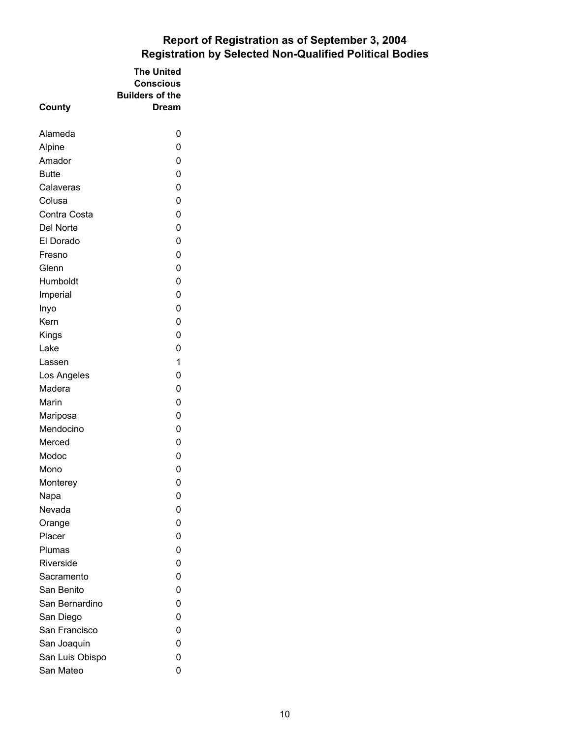| County           | The United<br><b>Conscious</b><br><b>Builders of the</b><br>Dream |  |
|------------------|-------------------------------------------------------------------|--|
| Alameda          | 0                                                                 |  |
| Alpine           | 0                                                                 |  |
| Amador           | 0                                                                 |  |
| <b>Butte</b>     | 0                                                                 |  |
| Calaveras        | 0                                                                 |  |
| Colusa           | 0                                                                 |  |
| Contra Costa     | 0                                                                 |  |
| Del Norte        | 0                                                                 |  |
| El Dorado        | 0                                                                 |  |
| Fresno           | 0                                                                 |  |
| Glenn            | 0                                                                 |  |
| Humboldt         | 0                                                                 |  |
| Imperial         | 0                                                                 |  |
| Inyo             | 0                                                                 |  |
| Kern             | 0                                                                 |  |
| Kings            | 0                                                                 |  |
| Lake             | 0                                                                 |  |
| Lassen           | 1                                                                 |  |
| Los Angeles      | 0                                                                 |  |
| Madera           | 0                                                                 |  |
| Marin            | 0                                                                 |  |
| Mariposa         | 0                                                                 |  |
| Mendocino        | 0                                                                 |  |
| Merced           | 0                                                                 |  |
| Modoc            | 0                                                                 |  |
| Mono             | 0                                                                 |  |
| Monterey         | 0                                                                 |  |
| Napa<br>Nevada   | 0<br>0                                                            |  |
|                  | 0                                                                 |  |
| Orange<br>Placer | 0                                                                 |  |
| Plumas           | 0                                                                 |  |
| Riverside        | 0                                                                 |  |
| Sacramento       | 0                                                                 |  |
| San Benito       | 0                                                                 |  |
| San Bernardino   | 0                                                                 |  |
| San Diego        | 0                                                                 |  |
| San Francisco    | 0                                                                 |  |
| San Joaquin      | 0                                                                 |  |
| San Luis Obispo  | 0                                                                 |  |
| San Mateo        | 0                                                                 |  |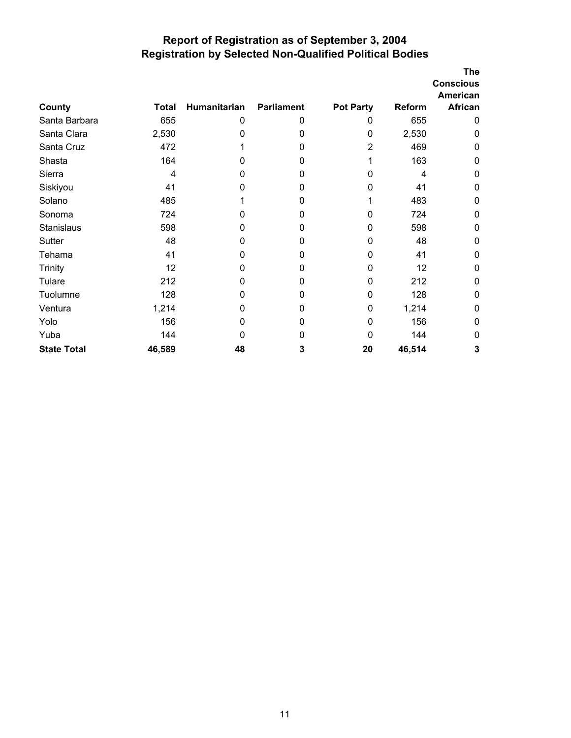|                    |        |              |                   |                  |        | The<br><b>Conscious</b><br>American |
|--------------------|--------|--------------|-------------------|------------------|--------|-------------------------------------|
| County             | Total  | Humanitarian | <b>Parliament</b> | <b>Pot Party</b> | Reform | African                             |
| Santa Barbara      | 655    | 0            | 0                 | 0                | 655    | $\mathbf{0}$                        |
| Santa Clara        | 2,530  | 0            | 0                 | $\mathbf{0}$     | 2,530  | 0                                   |
| Santa Cruz         | 472    |              | 0                 | 2                | 469    | 0                                   |
| Shasta             | 164    | 0            | 0                 |                  | 163    | 0                                   |
| Sierra             | 4      | 0            | 0                 | O                | 4      | 0                                   |
| Siskiyou           | 41     | 0            | 0                 | 0                | 41     | 0                                   |
| Solano             | 485    |              | 0                 |                  | 483    | 0                                   |
| Sonoma             | 724    | 0            | 0                 | 0                | 724    | $\mathbf{0}$                        |
| Stanislaus         | 598    | 0            | 0                 | 0                | 598    | 0                                   |
| Sutter             | 48     | 0            | 0                 | 0                | 48     | $\mathbf{0}$                        |
| Tehama             | 41     | 0            | 0                 | 0                | 41     | 0                                   |
| <b>Trinity</b>     | 12     | 0            | 0                 | 0                | 12     | 0                                   |
| Tulare             | 212    | 0            | 0                 | 0                | 212    | 0                                   |
| Tuolumne           | 128    | 0            | 0                 | 0                | 128    | 0                                   |
| Ventura            | 1,214  | 0            | 0                 | 0                | 1,214  | 0                                   |
| Yolo               | 156    | 0            | 0                 | 0                | 156    | 0                                   |
| Yuba               | 144    | 0            | 0                 | $\mathbf{0}$     | 144    | 0                                   |
| <b>State Total</b> | 46,589 | 48           | 3                 | 20               | 46,514 | 3                                   |